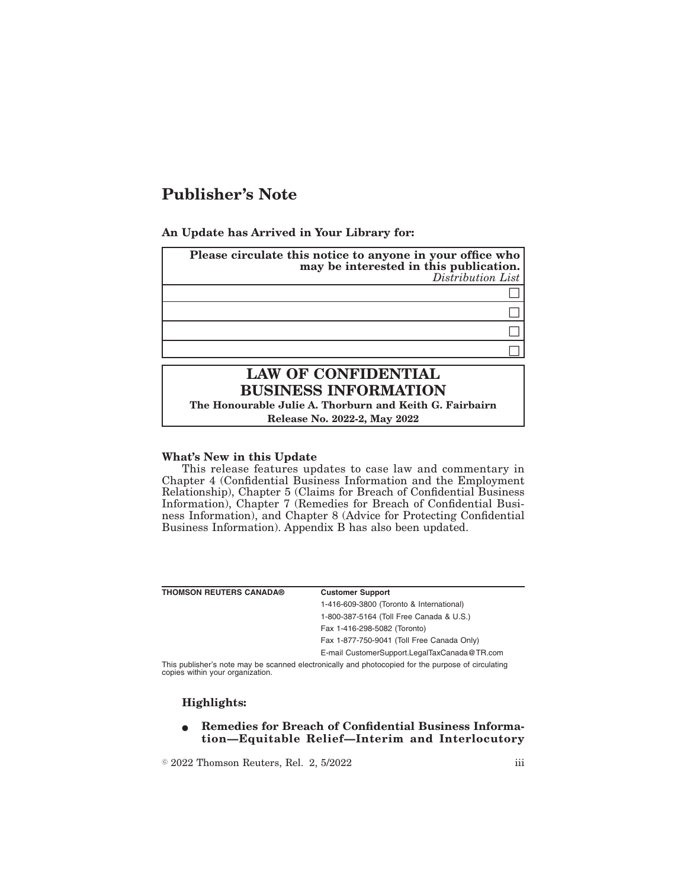# **Publisher's Note**

### **An Update has Arrived in Your Library for:**

| Please circulate this notice to anyone in your office who<br>may be interested in this publication. |  |  |
|-----------------------------------------------------------------------------------------------------|--|--|
| Distribution List                                                                                   |  |  |
|                                                                                                     |  |  |
|                                                                                                     |  |  |
|                                                                                                     |  |  |
|                                                                                                     |  |  |
|                                                                                                     |  |  |

# **LAW OF CONFIDENTIAL BUSINESS INFORMATION**

**The Honourable Julie A. Thorburn and Keith G. Fairbairn Release No. 2022-2, May 2022**

#### **What's New in this Update**

This release features updates to case law and commentary in Chapter 4 (Confidential Business Information and the Employment Relationship), Chapter 5 (Claims for Breach of Confidential Business Information), Chapter 7 (Remedies for Breach of Confidential Business Information), and Chapter 8 (Advice for Protecting Confidential Business Information). Appendix B has also been updated.

| <b>THOMSON REUTERS CANADA®</b>                                                                     | <b>Customer Support</b>                      |
|----------------------------------------------------------------------------------------------------|----------------------------------------------|
|                                                                                                    | 1-416-609-3800 (Toronto & International)     |
|                                                                                                    | 1-800-387-5164 (Toll Free Canada & U.S.)     |
|                                                                                                    | Fax 1-416-298-5082 (Toronto)                 |
|                                                                                                    | Fax 1-877-750-9041 (Toll Free Canada Only)   |
|                                                                                                    | E-mail CustomerSupport.LegalTaxCanada@TR.com |
| This publisher's note may be scanned electronically and photocopied for the purpose of circulating |                                              |

This publisher's note may be scanned electronically and photocopied for the purpose of circulating copies within your organization.

## **Highlights:**

**• Remedies for Breach of Confidential Business Information—Equitable Relief—Interim and Interlocutory**

 $\textdegree$  2022 Thomson Reuters, Rel. 2, 5/2022 iii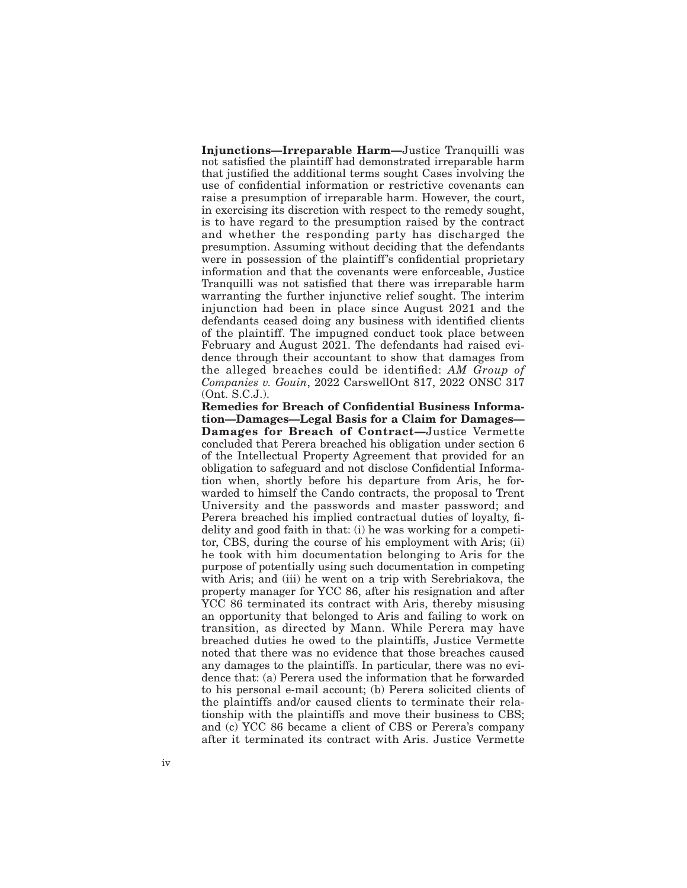**Injunctions—Irreparable Harm—**Justice Tranquilli was not satisfied the plaintiff had demonstrated irreparable harm that justified the additional terms sought Cases involving the use of confidential information or restrictive covenants can raise a presumption of irreparable harm. However, the court, in exercising its discretion with respect to the remedy sought, is to have regard to the presumption raised by the contract and whether the responding party has discharged the presumption. Assuming without deciding that the defendants were in possession of the plaintiff's confidential proprietary information and that the covenants were enforceable, Justice Tranquilli was not satisfied that there was irreparable harm warranting the further injunctive relief sought. The interim injunction had been in place since August 2021 and the defendants ceased doing any business with identified clients of the plaintiff. The impugned conduct took place between February and August 2021. The defendants had raised evidence through their accountant to show that damages from the alleged breaches could be identified: *AM Group of Companies v. Gouin*, 2022 CarswellOnt 817, 2022 ONSC 317 (Ont. S.C.J.).

**Remedies for Breach of Confidential Business Information—Damages—Legal Basis for a Claim for Damages— Damages for Breach of Contract—**Justice Vermette concluded that Perera breached his obligation under section 6 of the Intellectual Property Agreement that provided for an obligation to safeguard and not disclose Confidential Information when, shortly before his departure from Aris, he forwarded to himself the Cando contracts, the proposal to Trent University and the passwords and master password; and Perera breached his implied contractual duties of loyalty, fidelity and good faith in that: (i) he was working for a competitor, CBS, during the course of his employment with Aris; (ii) he took with him documentation belonging to Aris for the purpose of potentially using such documentation in competing with Aris; and (iii) he went on a trip with Serebriakova, the property manager for YCC 86, after his resignation and after YCC 86 terminated its contract with Aris, thereby misusing an opportunity that belonged to Aris and failing to work on transition, as directed by Mann. While Perera may have breached duties he owed to the plaintiffs, Justice Vermette noted that there was no evidence that those breaches caused any damages to the plaintiffs. In particular, there was no evidence that: (a) Perera used the information that he forwarded to his personal e-mail account; (b) Perera solicited clients of the plaintiffs and/or caused clients to terminate their relationship with the plaintiffs and move their business to CBS; and (c) YCC 86 became a client of CBS or Perera's company after it terminated its contract with Aris. Justice Vermette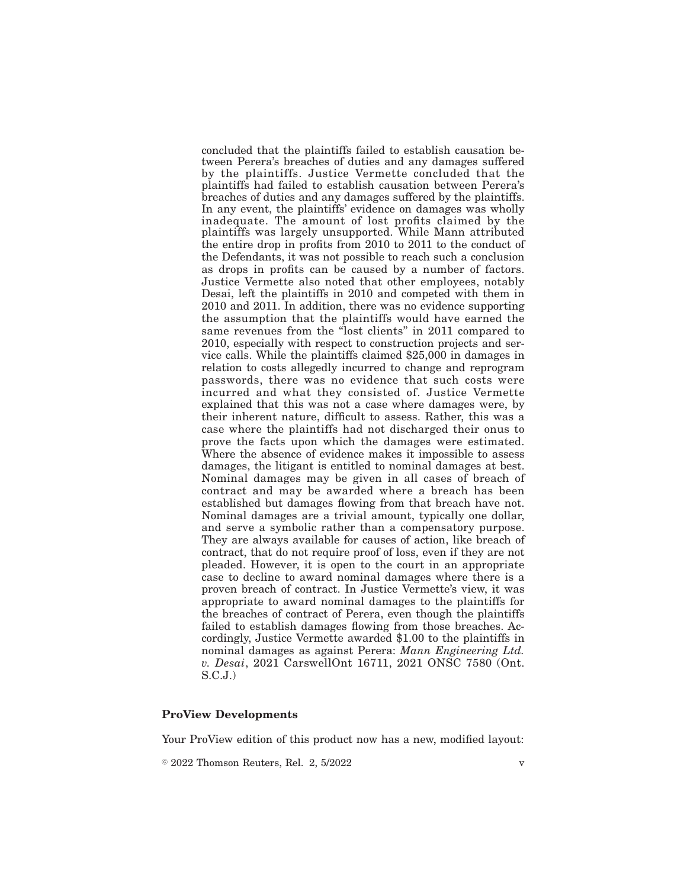concluded that the plaintiffs failed to establish causation between Perera's breaches of duties and any damages suffered by the plaintiffs. Justice Vermette concluded that the plaintiffs had failed to establish causation between Perera's breaches of duties and any damages suffered by the plaintiffs. In any event, the plaintiffs' evidence on damages was wholly inadequate. The amount of lost profits claimed by the plaintiffs was largely unsupported. While Mann attributed the entire drop in profits from 2010 to 2011 to the conduct of the Defendants, it was not possible to reach such a conclusion as drops in profits can be caused by a number of factors. Justice Vermette also noted that other employees, notably Desai, left the plaintiffs in 2010 and competed with them in 2010 and 2011. In addition, there was no evidence supporting the assumption that the plaintiffs would have earned the same revenues from the "lost clients" in 2011 compared to 2010, especially with respect to construction projects and service calls. While the plaintiffs claimed \$25,000 in damages in relation to costs allegedly incurred to change and reprogram passwords, there was no evidence that such costs were incurred and what they consisted of. Justice Vermette explained that this was not a case where damages were, by their inherent nature, difficult to assess. Rather, this was a case where the plaintiffs had not discharged their onus to prove the facts upon which the damages were estimated. Where the absence of evidence makes it impossible to assess damages, the litigant is entitled to nominal damages at best. Nominal damages may be given in all cases of breach of contract and may be awarded where a breach has been established but damages flowing from that breach have not. Nominal damages are a trivial amount, typically one dollar, and serve a symbolic rather than a compensatory purpose. They are always available for causes of action, like breach of contract, that do not require proof of loss, even if they are not pleaded. However, it is open to the court in an appropriate case to decline to award nominal damages where there is a proven breach of contract. In Justice Vermette's view, it was appropriate to award nominal damages to the plaintiffs for the breaches of contract of Perera, even though the plaintiffs failed to establish damages flowing from those breaches. Accordingly, Justice Vermette awarded \$1.00 to the plaintiffs in nominal damages as against Perera: *Mann Engineering Ltd. v. Desai*, 2021 CarswellOnt 16711, 2021 ONSC 7580 (Ont. S.C.J.)

### **ProView Developments**

Your ProView edition of this product now has a new, modified layout:

 $\degree$  2022 Thomson Reuters, Rel. 2, 5/2022 v